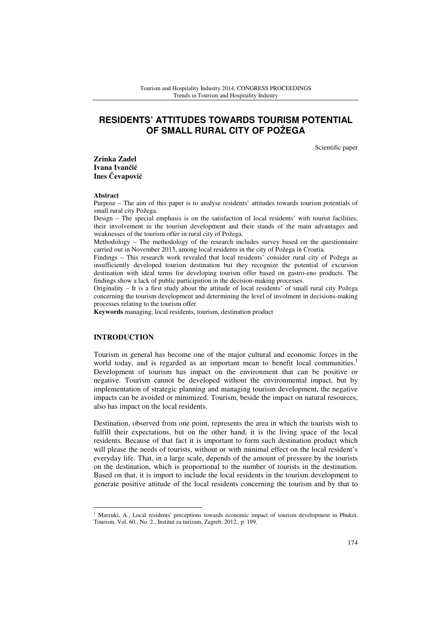# **RESIDENTS' ATTITUDES TOWARDS TOURISM POTENTIAL OF SMALL RURAL CITY OF POŽEGA**

Scientific paper

**Zrinka Zadel Ivana Ivan**č**i**ć **Ines** Č**evapovi**ć

#### **Abstract**

Purpose – The aim of this paper is to analyse residents' attitudes towards tourism potentials of small rural city Požega.

Design – The special emphasis is on the satisfaction of local residents' with tourist facilities, their involvement in the tourism development and their stands of the main advantages and weaknesses of the tourism offer in rural city of Požega.

Methodology – The methodology of the research includes survey based on the questionnaire carried out in November 2013, among local residents in the city of Požega in Croatia.

Findings – This research work revealed that local residents' consider rural city of Požega as insufficiently developed tourism destination but they recognize the potential of excursion destination with ideal terms for developing tourism offer based on gastro-eno products. The findings show a lack of public participation in the decision-making processes.

Originality – It is a first study about the attitude of local residents' of small rural city Požega concerning the tourism development and determining the level of involment in decisions-making processes relating to the tourism offer.

**Keywords** managing, local residents, tourism, destination product

#### **INTRODUCTION**

 $\overline{a}$ 

Tourism in general has become one of the major cultural and economic forces in the world today, and is regarded as an important mean to benefit local communities.<sup>1</sup> Development of tourism has impact on the environment that can be positive or negative. Tourism cannot be developed without the environmental impact, but by implementation of strategic planning and managing tourism development, the negative impacts can be avoided or minimized. Tourism, beside the impact on natural resources, also has impact on the local residents.

Destination, observed from one point, represents the area in which the tourists wish to fulfill their expectations, but on the other hand, it is the living space of the local residents. Because of that fact it is important to form such destination product which will please the needs of tourists, without or with minimal effect on the local resident's everyday life. That, in a large scale, depends of the amount of pressure by the tourists on the destination, which is proportional to the number of tourists in the destination. Based on that, it is import to include the local residents in the tourism development to generate positive attitude of the local residents concerning the tourism and by that to

<sup>&</sup>lt;sup>1</sup> Marzuki, A., Local residents' perceptions towards economic impact of tourism development in Phuket, Tourism, Vol. 60., No. 2., Institut za turizam, Zagreb, 2012., p. 199.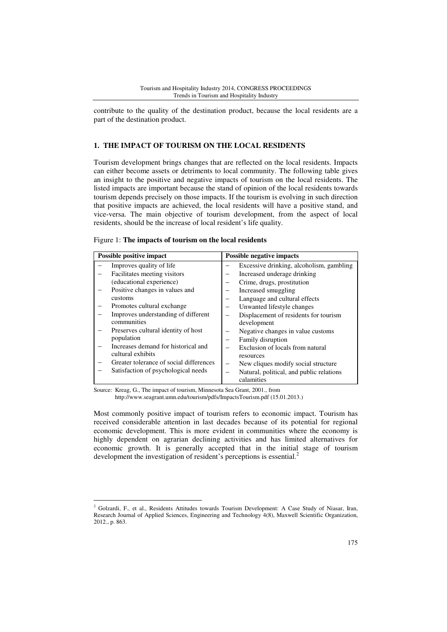contribute to the quality of the destination product, because the local residents are a part of the destination product.

### **1. THE IMPACT OF TOURISM ON THE LOCAL RESIDENTS**

Tourism development brings changes that are reflected on the local residents. Impacts can either become assets or detriments to local community. The following table gives an insight to the positive and negative impacts of tourism on the local residents. The listed impacts are important because the stand of opinion of the local residents towards tourism depends precisely on those impacts. If the tourism is evolving in such direction that positive impacts are achieved, the local residents will have a positive stand, and vice-versa. The main objective of tourism development, from the aspect of local residents, should be the increase of local resident's life quality.

Figure 1: **The impacts of tourism on the local residents** 

| Possible positive impact |                                         | Possible negative impacts |                                          |
|--------------------------|-----------------------------------------|---------------------------|------------------------------------------|
|                          | Improves quality of life                |                           | Excessive drinking, alcoholism, gambling |
|                          | Facilitates meeting visitors            |                           | Increased underage drinking              |
|                          | (educational experience)                |                           | Crime, drugs, prostitution               |
|                          | Positive changes in values and          |                           | Increased smuggling                      |
|                          | customs                                 |                           | Language and cultural effects            |
|                          | Promotes cultural exchange              |                           | Unwanted lifestyle changes               |
|                          | Improves understanding of different     |                           | Displacement of residents for tourism    |
|                          | communities                             |                           | development                              |
|                          | Preserves cultural identity of host     |                           | Negative changes in value customs        |
|                          | population                              |                           | Family disruption                        |
|                          | Increases demand for historical and     |                           | Exclusion of locals from natural         |
|                          | cultural exhibits                       |                           | resources                                |
|                          | Greater tolerance of social differences |                           | New cliques modify social structure      |
|                          | Satisfaction of psychological needs     |                           | Natural, political, and public relations |
|                          |                                         |                           | calamities                               |

Source: Kreag, G., The impact of tourism, Minnesota Sea Grant, 2001., from http://www.seagrant.umn.edu/tourism/pdfs/ImpactsTourism.pdf (15.01.2013.)

Most commonly positive impact of tourism refers to economic impact. Tourism has received considerable attention in last decades because of its potential for regional economic development. This is more evident in communities where the economy is highly dependent on agrarian declining activities and has limited alternatives for economic growth. It is generally accepted that in the initial stage of tourism development the investigation of resident's perceptions is essential.<sup>2</sup>

 2 Golzardi, F., et al., Residents Attitudes towards Tourism Development: A Case Study of Niasar, Iran, Research Journal of Applied Sciences, Engineering and Technology 4(8), Maxwell Scientific Organization, 2012., p. 863.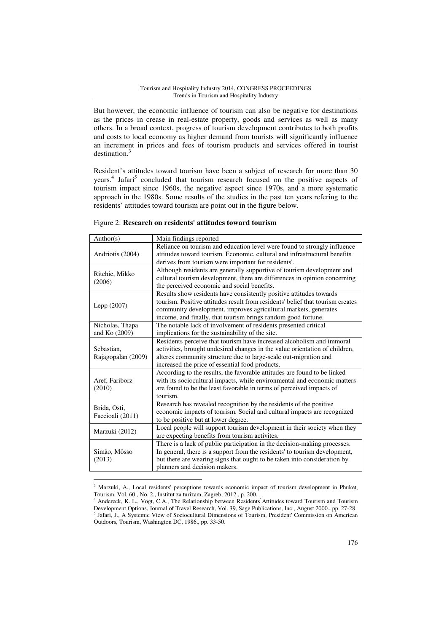But however, the economic influence of tourism can also be negative for destinations as the prices in crease in real-estate property, goods and services as well as many others. In a broad context, progress of tourism development contributes to both profits and costs to local economy as higher demand from tourists will significantly influence an increment in prices and fees of tourism products and services offered in tourist destination.<sup>3</sup>

Resident's attitudes toward tourism have been a subject of research for more than 30 years.<sup>4</sup> Jafari<sup>5</sup> concluded that tourism research focused on the positive aspects of tourism impact since 1960s, the negative aspect since 1970s, and a more systematic approach in the 1980s. Some results of the studies in the past ten years refering to the residents' attitudes toward tourism are point out in the figure below.

| Author(s)          | Main findings reported                                                         |
|--------------------|--------------------------------------------------------------------------------|
|                    | Reliance on tourism and education level were found to strongly influence       |
| Andriotis (2004)   | attitudes toward tourism. Economic, cultural and infrastructural benefits      |
|                    | derives from tourism were important for residents'.                            |
| Ritchie, Mikko     | Although residents are generally supportive of tourism development and         |
| (2006)             | cultural tourism development, there are differences in opinion concerning      |
|                    | the perceived economic and social benefits.                                    |
|                    | Results show residents have consistently positive attitudes towards            |
| Lepp (2007)        | tourism. Positive attitudes result from residents' belief that tourism creates |
|                    | community development, improves agricultural markets, generates                |
|                    | income, and finally, that tourism brings random good fortune.                  |
| Nicholas, Thapa    | The notable lack of involvement of residents presented critical                |
| and Ko (2009)      | implications for the sustainability of the site.                               |
|                    | Residents perceive that tourism have increased alcoholism and immoral          |
| Sebastian.         | activities, brought undesired changes in the value orientation of children,    |
| Rajagopalan (2009) | alteres community structure due to large-scale out-migration and               |
|                    | increased the price of essential food products.                                |
|                    | According to the results, the favorable attitudes are found to be linked       |
| Aref, Fariborz     | with its sociocultural impacts, while environmental and economic matters       |
| (2010)             | are found to be the least favorable in terms of perceived impacts of           |
|                    | tourism.                                                                       |
| Brida, Osti,       | Research has revealed recognition by the residents of the positive             |
| Faccioali (2011)   | economic impacts of tourism. Social and cultural impacts are recognized        |
|                    | to be positive but at lower degree.                                            |
| Marzuki (2012)     | Local people will support tourism development in their society when they       |
|                    | are expecting benefits from tourism activites.                                 |
|                    | There is a lack of public participation in the decision-making processes.      |
| Simão, Môsso       | In general, there is a support from the residents' to tourism development,     |
| (2013)             | but there are wearing signs that ought to be taken into consideration by       |
|                    | planners and decision makers.                                                  |

Figure 2: **Research on residents' attitudes toward tourism** 

 $\overline{a}$ 

<sup>&</sup>lt;sup>3</sup> Marzuki, A., Local residents' perceptions towards economic impact of tourism development in Phuket, Tourism, Vol. 60., No. 2., Institut za turizam, Zagreb, 2012., p. 200. 4

Andereck, K. L., Vogt, C.A., The Relationship between Residents' Attitudes toward Tourism and Tourism Development Options, Journal of Travel Research, Vol. 39, Sage Publications, Inc., August 2000., pp. 27-28. 5 Jafari, J., A Systemic View of Sociocultural Dimensions of Tourism, President' Commission on American Outdoors, Tourism, Washington DC, 1986., pp. 33-50.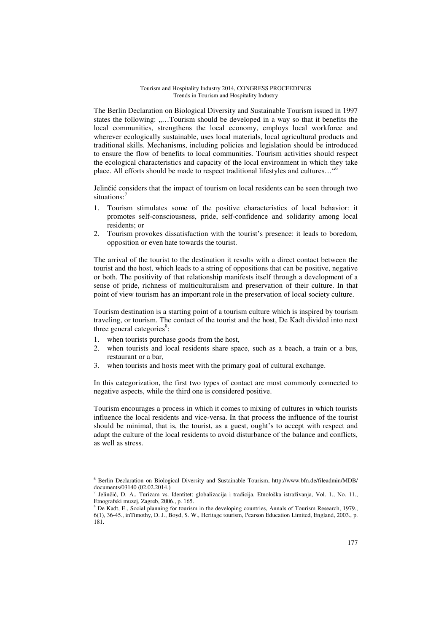The Berlin Declaration on Biological Diversity and Sustainable Tourism issued in 1997 states the following: "....Tourism should be developed in a way so that it benefits the local communities, strengthens the local economy, employs local workforce and wherever ecologically sustainable, uses local materials, local agricultural products and traditional skills. Mechanisms, including policies and legislation should be introduced to ensure the flow of benefits to local communities. Tourism activities should respect the ecological characteristics and capacity of the local environment in which they take place. All efforts should be made to respect traditional lifestyles and cultures…"<sup>6</sup>

Jelinčić considers that the impact of tourism on local residents can be seen through two situations:<sup>7</sup>

- 1. Tourism stimulates some of the positive characteristics of local behavior: it promotes self-consciousness, pride, self-confidence and solidarity among local residents; or
- 2. Tourism provokes dissatisfaction with the tourist's presence: it leads to boredom, opposition or even hate towards the tourist.

The arrival of the tourist to the destination it results with a direct contact between the tourist and the host, which leads to a string of oppositions that can be positive, negative or both. The positivity of that relationship manifests itself through a development of a sense of pride, richness of multiculturalism and preservation of their culture. In that point of view tourism has an important role in the preservation of local society culture.

Tourism destination is a starting point of a tourism culture which is inspired by tourism traveling, or tourism. The contact of the tourist and the host, De Kadt divided into next three general categories $s$ :

1. when tourists purchase goods from the host,

 $\overline{a}$ 

- 2. when tourists and local residents share space, such as a beach, a train or a bus, restaurant or a bar,
- 3. when tourists and hosts meet with the primary goal of cultural exchange.

In this categorization, the first two types of contact are most commonly connected to negative aspects, while the third one is considered positive.

Tourism encourages a process in which it comes to mixing of cultures in which tourists influence the local residents and vice-versa. In that process the influence of the tourist should be minimal, that is, the tourist, as a guest, ought's to accept with respect and adapt the culture of the local residents to avoid disturbance of the balance and conflicts, as well as stress.

<sup>6</sup> Berlin Declaration on Biological Diversity and Sustainable Tourism, http://www.bfn.de/fileadmin/MDB/ documents/03140  $(02.02.2014.)$ 

Jelinčić, D. A., Turizam vs. Identitet: globalizacija i tradicija, Etnološka istraživanja, Vol. 1., No. 11., Etnografski muzej, Zagreb, 2006., p. 165.

<sup>&</sup>lt;sup>8</sup> De Kadt, E., Social planning for tourism in the developing countries, Annals of Tourism Research, 1979., 6(1), 36-45., inTimothy, D. J., Boyd, S. W., Heritage tourism, Pearson Education Limited, England, 2003., p. 181.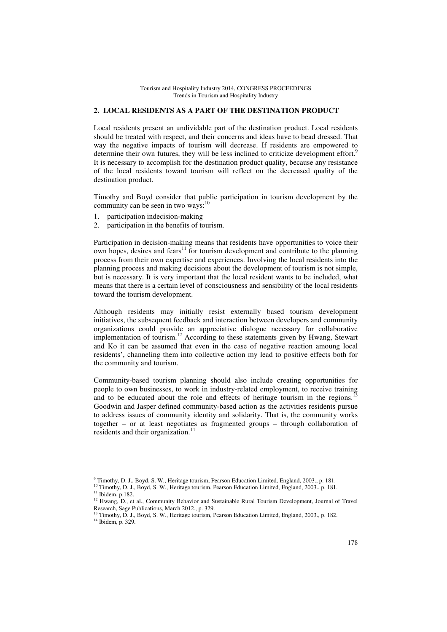#### **2. LOCAL RESIDENTS AS A PART OF THE DESTINATION PRODUCT**

Local residents present an undividable part of the destination product. Local residents should be treated with respect, and their concerns and ideas have to bead dressed. That way the negative impacts of tourism will decrease. If residents are empowered to determine their own futures, they will be less inclined to criticize development effort.<sup>9</sup> It is necessary to accomplish for the destination product quality, because any resistance of the local residents toward tourism will reflect on the decreased quality of the destination product.

Timothy and Boyd consider that public participation in tourism development by the community can be seen in two ways:<sup>10</sup>

- 1. participation indecision-making
- 2. participation in the benefits of tourism.

Participation in decision-making means that residents have opportunities to voice their own hopes, desires and fears<sup>11</sup> for tourism development and contribute to the planning process from their own expertise and experiences. Involving the local residents into the planning process and making decisions about the development of tourism is not simple, but is necessary. It is very important that the local resident wants to be included, what means that there is a certain level of consciousness and sensibility of the local residents toward the tourism development.

Although residents may initially resist externally based tourism development initiatives, the subsequent feedback and interaction between developers and community organizations could provide an appreciative dialogue necessary for collaborative implementation of tourism.<sup>12</sup> According to these statements given by Hwang, Stewart and Ko it can be assumed that even in the case of negative reaction amoung local residents', channeling them into collective action my lead to positive effects both for the community and tourism.

Community-based tourism planning should also include creating opportunities for people to own businesses, to work in industry-related employment, to receive training and to be educated about the role and effects of heritage tourism in the regions.<sup>1</sup> Goodwin and Jasper defined community-based action as the activities residents pursue to address issues of community identity and solidarity. That is, the community works together – or at least negotiates as fragmented groups – through collaboration of residents and their organization.<sup>14</sup>

 $\overline{a}$ 

<sup>9</sup> Timothy, D. J., Boyd, S. W., Heritage tourism, Pearson Education Limited, England, 2003., p. 181.

<sup>&</sup>lt;sup>10</sup> Timothy, D. J., Boyd, S. W., Heritage tourism, Pearson Education Limited, England, 2003., p. 181.

 $11$  Ibidem, p.182.

<sup>&</sup>lt;sup>12</sup> Hwang, D., et al., Community Behavior and Sustainable Rural Tourism Development, Journal of Travel Research, Sage Publications, March 2012., p. 329.

<sup>&</sup>lt;sup>3</sup> Timothy, D. J., Boyd, S. W., Heritage tourism, Pearson Education Limited, England, 2003., p. 182. <sup>14</sup> Ibidem, p. 329.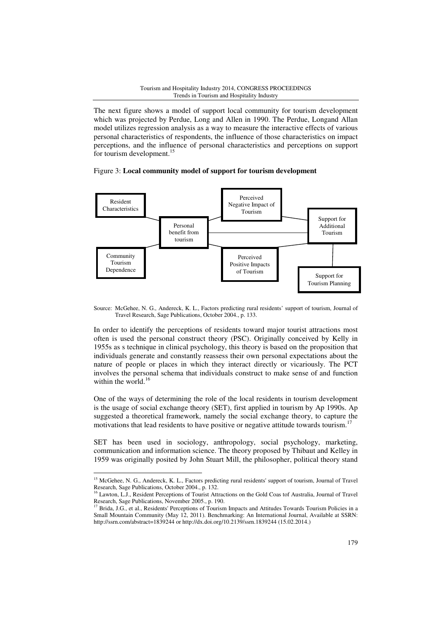The next figure shows a model of support local community for tourism development which was projected by Perdue, Long and Allen in 1990. The Perdue, Longand Allan model utilizes regression analysis as a way to measure the interactive effects of various personal characteristics of respondents, the influence of those characteristics on impact perceptions, and the influence of personal characteristics and perceptions on support for tourism development.<sup>15</sup>

### Figure 3: **Local community model of support for tourism development**



Source: McGehee, N. G., Andereck, K. L., Factors predicting rural residents' support of tourism, Journal of Travel Research, Sage Publications, October 2004., p. 133.

In order to identify the perceptions of residents toward major tourist attractions most often is used the personal construct theory (PSC). Originally conceived by Kelly in 1955s as s technique in clinical psychology, this theory is based on the proposition that individuals generate and constantly reassess their own personal expectations about the nature of people or places in which they interact directly or vicariously. The PCT involves the personal schema that individuals construct to make sense of and function within the world. $16$ 

One of the ways of determining the role of the local residents in tourism development is the usage of social exchange theory (SET), first applied in tourism by Ap 1990s. Ap suggested a theoretical framework, namely the social exchange theory, to capture the motivations that lead residents to have positive or negative attitude towards tourism.<sup>17</sup>

SET has been used in sociology, anthropology, social psychology, marketing, communication and information science. The theory proposed by Thibaut and Kelley in 1959 was originally posited by John Stuart Mill, the philosopher, political theory stand

 $\overline{a}$ 

<sup>&</sup>lt;sup>15</sup> McGehee, N. G., Andereck, K. L., Factors predicting rural residents' support of tourism, Journal of Travel Research, Sage Publications, October 2004., p. 132.

<sup>&</sup>lt;sup>6</sup> Lawton, L.J., Resident Perceptions of Tourist Attractions on the Gold Coas tof Australia, Journal of Travel Research, Sage Publications, November 2005., p. 190.

<sup>&</sup>lt;sup>17</sup> Brida, J.G., et al., Residents' Perceptions of Tourism Impacts and Attitudes Towards Tourism Policies in a Small Mountain Community (May 12, 2011). Benchmarking: An International Journal, Available at SSRN: http://ssrn.com/abstract=1839244 or http://dx.doi.org/10.2139/ssrn.1839244 (15.02.2014.)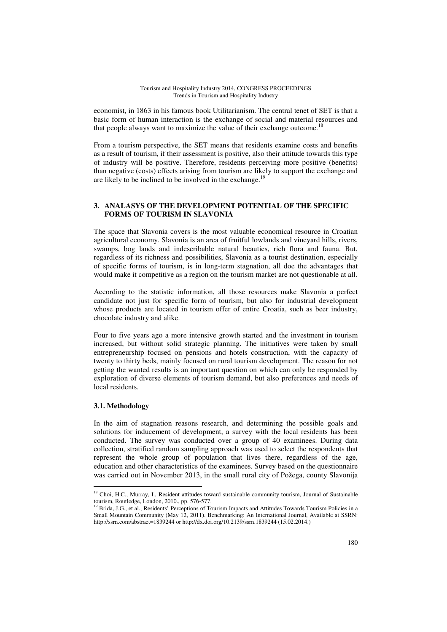economist, in 1863 in his famous book Utilitarianism. The central tenet of SET is that a basic form of human interaction is the exchange of social and material resources and that people always want to maximize the value of their exchange outcome.<sup>18</sup>

From a tourism perspective, the SET means that residents examine costs and benefits as a result of tourism, if their assessment is positive, also their attitude towards this type of industry will be positive. Therefore, residents perceiving more positive (benefits) than negative (costs) effects arising from tourism are likely to support the exchange and are likely to be inclined to be involved in the exchange.<sup>19</sup>

## **3. ANALASYS OF THE DEVELOPMENT POTENTIAL OF THE SPECIFIC FORMS OF TOURISM IN SLAVONIA**

The space that Slavonia covers is the most valuable economical resource in Croatian agricultural economy. Slavonia is an area of fruitful lowlands and vineyard hills, rivers, swamps, bog lands and indescribable natural beauties, rich flora and fauna. But, regardless of its richness and possibilities, Slavonia as a tourist destination, especially of specific forms of tourism, is in long-term stagnation, all doe the advantages that would make it competitive as a region on the tourism market are not questionable at all.

According to the statistic information, all those resources make Slavonia a perfect candidate not just for specific form of tourism, but also for industrial development whose products are located in tourism offer of entire Croatia, such as beer industry, chocolate industry and alike.

Four to five years ago a more intensive growth started and the investment in tourism increased, but without solid strategic planning. The initiatives were taken by small entrepreneurship focused on pensions and hotels construction, with the capacity of twenty to thirty beds, mainly focused on rural tourism development. The reason for not getting the wanted results is an important question on which can only be responded by exploration of diverse elements of tourism demand, but also preferences and needs of local residents.

### **3.1. Methodology**

 $\overline{a}$ 

In the aim of stagnation reasons research, and determining the possible goals and solutions for inducement of development, a survey with the local residents has been conducted. The survey was conducted over a group of 40 examinees. During data collection, stratified random sampling approach was used to select the respondents that represent the whole group of population that lives there, regardless of the age, education and other characteristics of the examinees. Survey based on the questionnaire was carried out in November 2013, in the small rural city of Požega, county Slavonija

<sup>&</sup>lt;sup>18</sup> Choi, H.C., Murray, I., Resident attitudes toward sustainable community tourism, Journal of Sustainable tourism, Routledge, London, 2010., pp. 576-577.

<sup>&</sup>lt;sup>19</sup> Brida, J.G., et al., Residents' Perceptions of Tourism Impacts and Attitudes Towards Tourism Policies in a Small Mountain Community (May 12, 2011). Benchmarking: An International Journal, Available at SSRN: http://ssrn.com/abstract=1839244 or http://dx.doi.org/10.2139/ssrn.1839244 (15.02.2014.)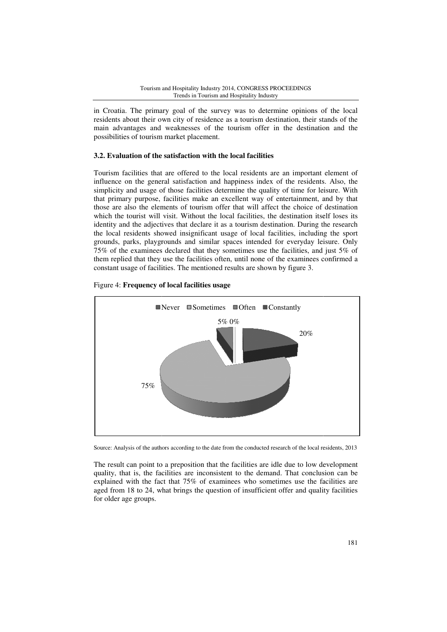in Croatia. The primary goal of the survey was to determine opinions of the local residents about their own city of residence as a tourism destination, their stands of the main advantages and weaknesses of the tourism offer in the destination and the possibilities of tourism market placement.

### **3.2. Evaluation of the satisfaction with the local facil . facilities**

Tourism facilities that are offered to the local residents are an important element of influence on the general satisfaction and happiness index of the residents. Also, the simplicity and usage of those facilities determine the quality of time for leisure. With that primary purpose, facilities make an excellent way of entertainment, and by that those are also the elements of tourism offer that will affect the choice of destination which the tourist will visit. Without the local facilities, the destination itself loses its identity and the adjectives that declare it as a tourism destination. During the research the local residents showed insignificant usage of local facilities, including the sport grounds, parks, playgrounds and similar spaces intended for everyday leisure. Only 75% of the examinees declared that they sometimes use the facilities, and just 5% of them replied that they use the facilities often, until none of the examinees confirmed a constant usage of facilities. The mentioned results are shown by figure 3. acilities that are offered to the local residents are an important element of on the general satisfaction and happiness index of the residents. Also, the and usage of those facilities determine the quality of time for leis



#### Figure 4: **Frequency of local facilities usage**

Source: Analysis of the authors according to the date from the conducted research of the local residents, 2013

The result can point to a preposition that the facilities are idle due to low development quality, that is, the facilities are inconsistent to the demand. That conclusion can be explained with the fact that 75% of examinees who sometimes use the facilities are aged from 18 to 24, what brings the question of insufficient offer and quality facilities for older age groups.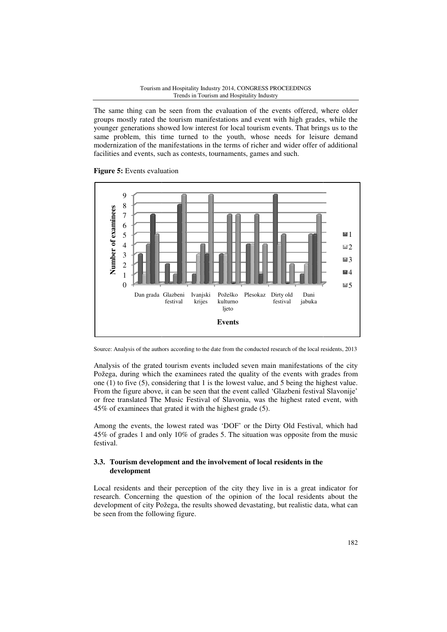The same thing can be seen from the evaluation of the events offered, where older groups mostly rated the tourism manifestations and event with high grades, while the younger generations showed low interest for local tourism events. That brings us to the same problem, this time turned to the youth, whose needs for leisure demand modernization of the manifestations in the terms of richer and wider offer of facilities and events, such as contests, tournaments, games and such. e seen from the evaluation of the events offered, where older<br>e tourism manifestations and event with high grades, while the<br>lowed low interest for local tourism events. That brings us to the<br>ime turned to the youth, whose





Source: Analysis of the authors according to the date from the conducted research of the local residents, 2013

Analysis of the grated tourism events included seven main manifestations of the city Požega, during which the examinees rated the quality of the events with grades from one (1) to five (5), considering that 1 is the lowest value, and 5 being the highest highest value. From the figure above, it can be seen that the event called 'Glazbeni festival Slavonije' or free translated The Music Festival of Slavonia, was the highest rated event, with 45% of examinees that grated it with the highest grade (5). Dan grada Glazbeni<br>
festival<br>
festival<br>
festival<br>
gga, during which the exa<br>
(1) to five (5), considering<br>
m the figure above, it can b<br>
ree translated The Music<br>
of examinees that grated i<br>
ong the events, the lowest<br>
of

Among the events, the lowest rated was 'DOF' or the Dirty Old Festival, which had 45% of grades 1 and only 10% of grades 5. The situation was opposite from the music festival. Among the events, the lowest rated was 'DOF' or the Dirty Old Festival, which had 45% of grades 1 and only 10% of grades 5. The situation was opposite from the music festival.<br>3.3. Tourism development and the involvement o

### **3.3. Tourism development and the involvement of local residents in the development**

research. Concerning the question of the opinion of the local residents about the development of city Požega, the results showed devastating, but realistic data, what can be seen from the following figure.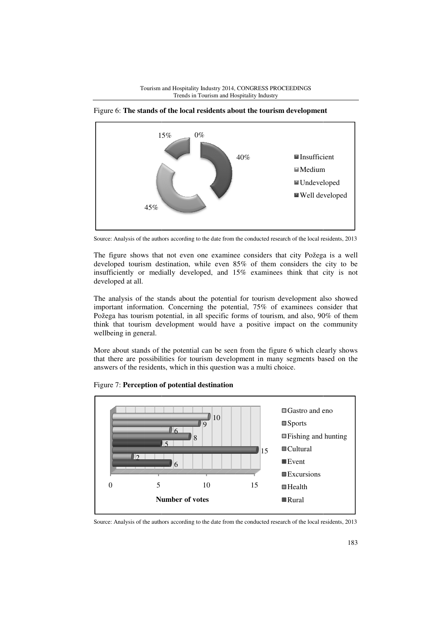







The figure shows that not even one examinee considers that city Požega is a well developed tourism destination, while even 85% of them considers the city to be insufficiently or medially developed, and 15% examinees think that city is not developed at all.

The analysis of the stands about the potential for tourism development also showed important information. Concerning the potential, 75% of examinees consider that Požega has tourism potential, in all specific forms of tourism, and also, 90% of them think that tourism development would have a positive impact on the community wellbeing in general.

More about stands of the potential can be seen from the figure 6 which clearly shows that there are possibilities for tourism development in many segments based based on the answers of the residents, which in this question was a multi choice.



Figure 7: **Perception of potential destination**

Source: Analysis of the authors according to the date from the conducted research of the local residents, 2013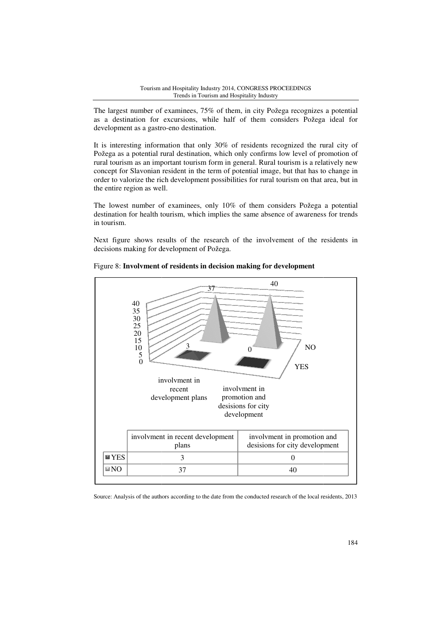The largest number of examinees, 75% of them, in city Požega recognizes a potential as a destination for excursions, while half of them considers Požega ideal for development as a gastro-eno destination.

It is interesting information that only 30% of residents recognized the rural city of Požega as a potential rural destination, which only confirms low level of promotion of rural tourism as an important tourism form in general. Rural tourism is a relatively new concept for Slavonian resident in the term of potential image, but that has to change in order to valorize the rich development possibilities for rural tourism on that area, but in the entire region as well.

The lowest number of examinees, only 10% of them considers Požega a potential destination for health tourism, which implies the same absence of awareness for trends in tourism.

Next figure shows results of the research of the involvement of the residents in decisions making for development of Požega.



Figure 8: Involvment of residents in decision making for development

Source: Analysis of the authors according to the date from the conducted research of the local residents, 2013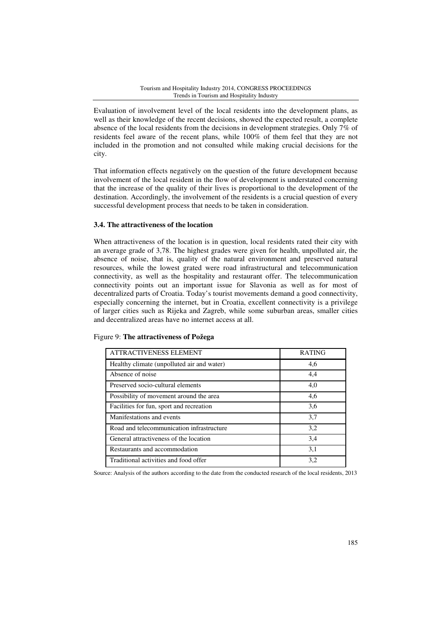Evaluation of involvement level of the local residents into the development plans, as well as their knowledge of the recent decisions, showed the expected result, a complete absence of the local residents from the decisions in development strategies. Only 7% of residents feel aware of the recent plans, while 100% of them feel that they are not included in the promotion and not consulted while making crucial decisions for the city.

That information effects negatively on the question of the future development because involvement of the local resident in the flow of development is understated concerning that the increase of the quality of their lives is proportional to the development of the destination. Accordingly, the involvement of the residents is a crucial question of every successful development process that needs to be taken in consideration.

### **3.4. The attractiveness of the location**

When attractiveness of the location is in question, local residents rated their city with an average grade of 3,78. The highest grades were given for health, unpolluted air, the absence of noise, that is, quality of the natural environment and preserved natural resources, while the lowest grated were road infrastructural and telecommunication connectivity, as well as the hospitality and restaurant offer. The telecommunication connectivity points out an important issue for Slavonia as well as for most of decentralized parts of Croatia. Today's tourist movements demand a good connectivity, especially concerning the internet, but in Croatia, excellent connectivity is a privilege of larger cities such as Rijeka and Zagreb, while some suburban areas, smaller cities and decentralized areas have no internet access at all.

| <b>ATTRACTIVENESS ELEMENT</b>              | <b>RATING</b> |
|--------------------------------------------|---------------|
| Healthy climate (unpolluted air and water) | 4,6           |
| Absence of noise                           | 4,4           |
| Preserved socio-cultural elements          | 4,0           |
| Possibility of movement around the area    | 4,6           |
| Facilities for fun, sport and recreation   | 3,6           |
| Manifestations and events                  | 3,7           |
| Road and telecommunication infrastructure  | 3,2           |
| General attractiveness of the location     | 3,4           |
| Restaurants and accommodation              | 3,1           |
| Traditional activities and food offer      | 3,2           |

Source: Analysis of the authors according to the date from the conducted research of the local residents, 2013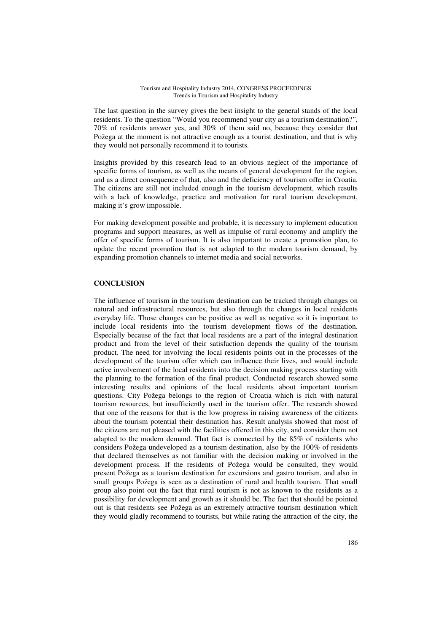The last question in the survey gives the best insight to the general stands of the local residents. To the question "Would you recommend your city as a tourism destination?", 70% of residents answer yes, and 30% of them said no, because they consider that Požega at the moment is not attractive enough as a tourist destination, and that is why they would not personally recommend it to tourists.

Insights provided by this research lead to an obvious neglect of the importance of specific forms of tourism, as well as the means of general development for the region, and as a direct consequence of that, also and the deficiency of tourism offer in Croatia. The citizens are still not included enough in the tourism development, which results with a lack of knowledge, practice and motivation for rural tourism development, making it's grow impossible.

For making development possible and probable, it is necessary to implement education programs and support measures, as well as impulse of rural economy and amplify the offer of specific forms of tourism. It is also important to create a promotion plan, to update the recent promotion that is not adapted to the modern tourism demand, by expanding promotion channels to internet media and social networks.

## **CONCLUSION**

The influence of tourism in the tourism destination can be tracked through changes on natural and infrastructural resources, but also through the changes in local residents everyday life. Those changes can be positive as well as negative so it is important to include local residents into the tourism development flows of the destination. Especially because of the fact that local residents are a part of the integral destination product and from the level of their satisfaction depends the quality of the tourism product. The need for involving the local residents points out in the processes of the development of the tourism offer which can influence their lives, and would include active involvement of the local residents into the decision making process starting with the planning to the formation of the final product. Conducted research showed some interesting results and opinions of the local residents about important tourism questions. City Požega belongs to the region of Croatia which is rich with natural tourism resources, but insufficiently used in the tourism offer. The research showed that one of the reasons for that is the low progress in raising awareness of the citizens about the tourism potential their destination has. Result analysis showed that most of the citizens are not pleased with the facilities offered in this city, and consider them not adapted to the modern demand. That fact is connected by the 85% of residents who considers Požega undeveloped as a tourism destination, also by the 100% of residents that declared themselves as not familiar with the decision making or involved in the development process. If the residents of Požega would be consulted, they would present Požega as a tourism destination for excursions and gastro tourism, and also in small groups Požega is seen as a destination of rural and health tourism. That small group also point out the fact that rural tourism is not as known to the residents as a possibility for development and growth as it should be. The fact that should be pointed out is that residents see Požega as an extremely attractive tourism destination which they would gladly recommend to tourists, but while rating the attraction of the city, the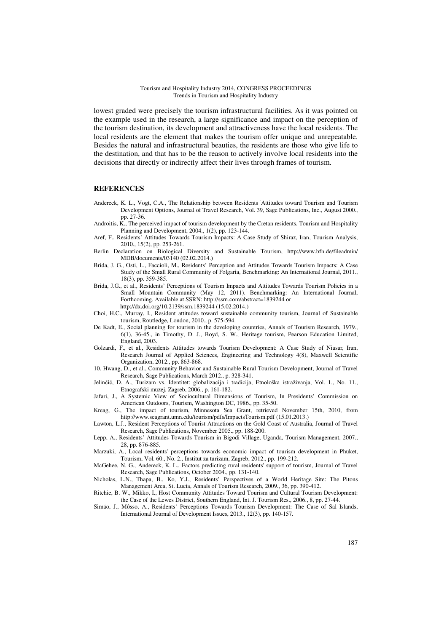lowest graded were precisely the tourism infrastructural facilities. As it was pointed on the example used in the research, a large significance and impact on the perception of the tourism destination, its development and attractiveness have the local residents. The local residents are the element that makes the tourism offer unique and unrepeatable. Besides the natural and infrastructural beauties, the residents are those who give life to the destination, and that has to be the reason to actively involve local residents into the decisions that directly or indirectly affect their lives through frames of tourism.

#### **REFERENCES**

- Andereck, K. L., Vogt, C.A., The Relationship between Residents 'Attitudes toward Tourism and Tourism Development Options, Journal of Travel Research, Vol. 39, Sage Publications, Inc., August 2000., pp. 27-36.
- Androitis, K., The perceived impact of tourism development by the Cretan residents, Tourism and Hospitality Planning and Development, 2004., 1(2), pp. 123-144.
- Aref, F., Residents' Attitudes Towards Tourism Impacts: A Case Study of Shiraz, Iran, Tourism Analysis, 2010., 15(2), pp. 253-261.
- Berlin Declaration on Biological Diversity and Sustainable Tourism, http://www.bfn.de/fileadmin/ MDB/documents/03140 (02.02.2014.)
- Brida, J. G., Osti, L., Faccioli, M., Residents' Perception and Attitudes Towards Tourism Impacts: A Case Study of the Small Rural Community of Folgaria, Benchmarking: An International Journal, 2011., 18(3), pp. 359-385.
- Brida, J.G., et al., Residents' Perceptions of Tourism Impacts and Attitudes Towards Tourism Policies in a Small Mountain Community (May 12, 2011). Benchmarking: An International Journal, Forthcoming. Available at SSRN: http://ssrn.com/abstract=1839244 or http://dx.doi.org/10.2139/ssrn.1839244 (15.02.2014.)
- Choi, H.C., Murray, I., Resident attitudes toward sustainable community tourism, Journal of Sustainable tourism, Routledge, London, 2010., p. 575-594.
- De Kadt, E., Social planning for tourism in the developing countries, Annals of Tourism Research, 1979., 6(1), 36-45., in Timothy, D. J., Boyd, S. W., Heritage tourism, Pearson Education Limited, England, 2003.
- Golzardi, F., et al., Residents Attitudes towards Tourism Development: A Case Study of Niasar, Iran, Research Journal of Applied Sciences, Engineering and Technology 4(8), Maxwell Scientific Organization, 2012., pp. 863-868.
- 10. Hwang, D., et al., Community Behavior and Sustainable Rural Tourism Development, Journal of Travel Research, Sage Publications, March 2012., p. 328-341.
- Jelinčić, D. A., Turizam vs. Identitet: globalizacija i tradicija, Etnološka istraživanja, Vol. 1., No. 11., Etnografski muzej, Zagreb, 2006., p. 161-182.
- Jafari, J., A Systemic View of Sociocultural Dimensions of Tourism, In Presidents' Commission on American Outdoors, Tourism, Washington DC, 1986., pp. 35-50.
- Kreag, G., The impact of tourism, Minnesota Sea Grant, retrieved November 15th, 2010, from http://www.seagrant.umn.edu/tourism/pdfs/ImpactsTourism.pdf (15.01.2013.)
- Lawton, L.J., Resident Perceptions of Tourist Attractions on the Gold Coast of Australia, Journal of Travel Research, Sage Publications, November 2005., pp. 188-200.
- Lepp, A., Residents' Attitudes Towards Tourism in Bigodi Village, Uganda, Tourism Management, 2007., 28, pp. 876-885.
- Marzuki, A., Local residents' perceptions towards economic impact of tourism development in Phuket, Tourism, Vol. 60., No. 2., Institut za turizam, Zagreb, 2012., pp. 199-212.
- McGehee, N. G., Andereck, K. L., Factors predicting rural residents' support of tourism, Journal of Travel Research, Sage Publications, October 2004., pp. 131-140.
- Nicholas, L.N., Thapa, B., Ko, Y.J., Residents' Perspectives of a World Heritage Site: The Pitons Management Area, St. Lucia, Annals of Tourism Research, 2009., 36, pp. 390-412.
- Ritchie, B. W., Mikko, I., Host Community Attitudes Toward Tourism and Cultural Tourism Development: the Case of the Lewes District, Southern England, Int. J. Tourism Res., 2006., 8, pp. 27-44.
- Simão, J., Môsso, A., Residents' Perceptions Towards Tourism Development: The Case of Sal Islands, International Journal of Development Issues, 2013., 12(3), pp. 140-157.